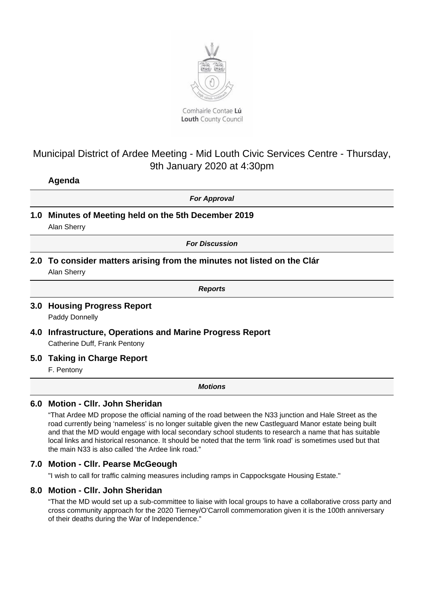

Louth County Council

# Municipal District of Ardee Meeting - Mid Louth Civic Services Centre - Thursday, 9th January 2020 at 4:30pm

# **Agenda**

**For Approval**

**1.0 Minutes of Meeting held on the 5th December 2019** Alan Sherry

**For Discussion**

**2.0 To consider matters arising from the minutes not listed on the Clár**

Alan Sherry

**Reports**

#### **3.0 Housing Progress Report** Paddy Donnelly

**4.0 Infrastructure, Operations and Marine Progress Report** Catherine Duff, Frank Pentony

## **5.0 Taking in Charge Report**

F. Pentony

**Motions**

# **6.0 Motion - Cllr. John Sheridan**

"That Ardee MD propose the official naming of the road between the N33 junction and Hale Street as the road currently being 'nameless' is no longer suitable given the new Castleguard Manor estate being built and that the MD would engage with local secondary school students to research a name that has suitable local links and historical resonance. It should be noted that the term 'link road' is sometimes used but that the main N33 is also called 'the Ardee link road."

## **7.0 Motion - Cllr. Pearse McGeough**

"I wish to call for traffic calming measures including ramps in Cappocksgate Housing Estate."

## **8.0 Motion - Cllr. John Sheridan**

"That the MD would set up a sub-committee to liaise with local groups to have a collaborative cross party and cross community approach for the 2020 Tierney/O'Carroll commemoration given it is the 100th anniversary of their deaths during the War of Independence."